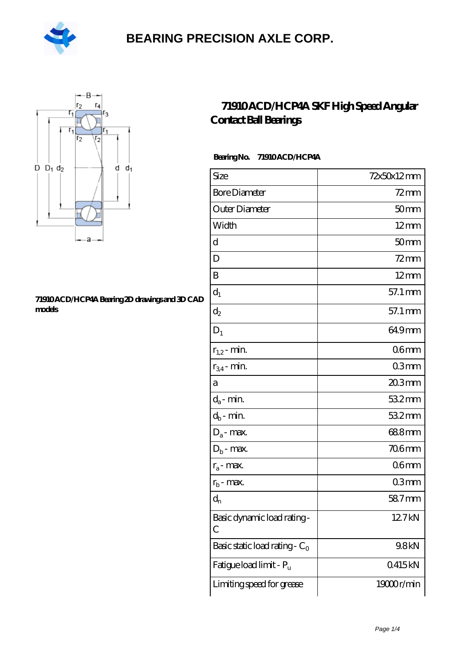



#### **[71910 ACD/HCP4A Bearing 2D drawings and 3D CAD](https://m.hilalanaokulu.com/pic-660656.html) [models](https://m.hilalanaokulu.com/pic-660656.html)**

### **[71910 ACD/HCP4A SKF High Speed Angular](https://m.hilalanaokulu.com/skf-bearings/71910-acd-hcp4a.html) [Contact Ball Bearings](https://m.hilalanaokulu.com/skf-bearings/71910-acd-hcp4a.html)**

### **Bearing No. 71910 ACD/HCP4A**

| Size                                | 72x50x12mm       |
|-------------------------------------|------------------|
| <b>Bore Diameter</b>                | $72 \text{mm}$   |
| Outer Diameter                      | 50 <sub>mm</sub> |
| Width                               | $12 \text{mm}$   |
| d                                   | 50mm             |
| D                                   | $72$ mm          |
| B                                   | $12 \text{mm}$   |
| $d_1$                               | 57.1 mm          |
| $d_2$                               | 57.1 mm          |
| $D_1$                               | 649mm            |
| $r_{1,2}$ - min.                    | 06 <sub>mm</sub> |
| $r_{34}$ - min.                     | 03mm             |
| а                                   | $203$ mm         |
| $d_a$ - min.                        | 532mm            |
| $d_b$ - min.                        | 532mm            |
| $D_a$ - max.                        | 688mm            |
| $D_b$ - max.                        | <b>706mm</b>     |
| $r_a$ - max.                        | 06mm             |
| $r_{\rm b}$ - max.                  | 03 <sub>mm</sub> |
| $d_{n}$                             | 58.7mm           |
| Basic dynamic load rating-<br>С     | 12.7kN           |
| Basic static load rating - $C_0$    | 9.8kN            |
| Fatigue load limit - P <sub>u</sub> | 0415kN           |
| Limiting speed for grease           | 19000r/min       |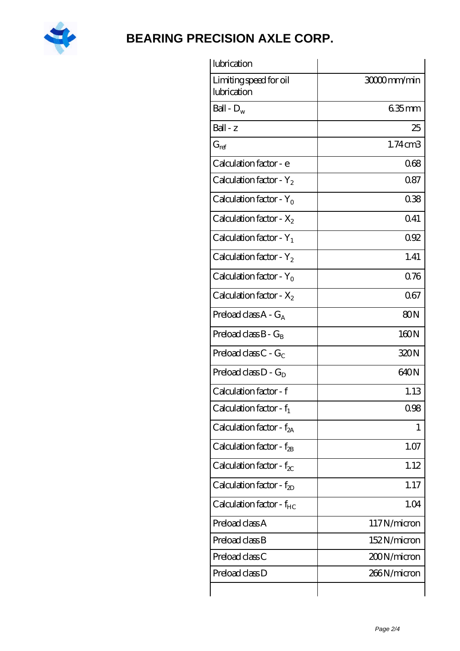

| lubrication                           |                 |
|---------------------------------------|-----------------|
| Limiting speed for oil<br>lubrication | 3000mm/min      |
| Ball - $D_w$                          | 635mm           |
| $Ball - z$                            | 25              |
| $G_{ref}$                             | $1.74$ cm $3$   |
| Calculation factor - e                | 068             |
| Calculation factor - $Y_2$            | 087             |
| Calculation factor - $Y_0$            | 038             |
| Calculation factor - $X_2$            | 0.41            |
| Calculation factor - $Y_1$            | 092             |
| Calculation factor - $Y_2$            | 1.41            |
| Calculation factor - $Y_0$            | 076             |
| Calculation factor - $X_2$            | 067             |
| Preload class $A - G_A$               | 80 <sub>N</sub> |
| Preload class $B - G_B$               | 160N            |
| Preload class $C - G_C$               | 320N            |
| Preload class $D - G_D$               | 640N            |
| Calculation factor - f                | 1.13            |
| Calculation factor - $f_1$            | 0.98            |
| Calculation factor - f <sub>2A</sub>  | 1               |
| Calculation factor - $f_{2B}$         | 1.07            |
| Calculation factor - $f_{\chi}$       | 1.12            |
| Calculation factor - $f_{ZD}$         | 1.17            |
| Calculation factor - $f_{HC}$         | 1.04            |
| Preload class A                       | 117N/micron     |
| Preload class B                       | 152N/micron     |
| Preload class C                       | 200N/micron     |
| Preload class D                       | 266N/micron     |
|                                       |                 |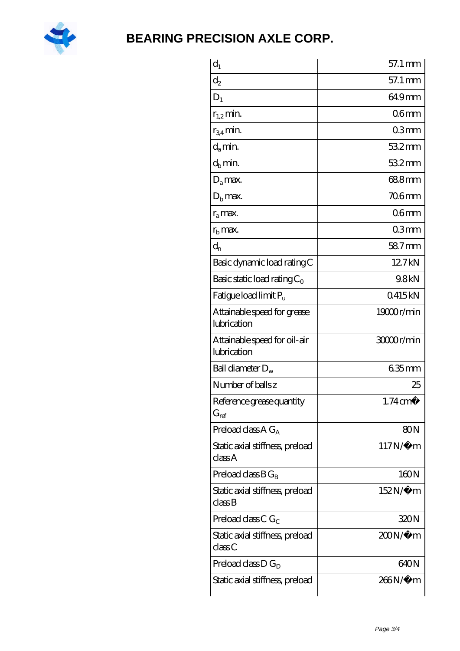

| $\mathrm{d}_{1}$                            | 57.1 mm             |
|---------------------------------------------|---------------------|
| $\mathrm{d}_2$                              | 57.1 mm             |
| $D_1$                                       | 64.9mm              |
| $r_{1,2}$ min.                              | 06 <sub>mm</sub>    |
| $r_{34}$ min.                               | 03mm                |
| d <sub>a</sub> min.                         | $532$ mm            |
| $d_b$ min.                                  | 532mm               |
| $D_a$ max.                                  | 688mm               |
| $Db$ max.                                   | <b>706mm</b>        |
| $r_a$ max.                                  | 06 <sub>mm</sub>    |
| $r_{\rm b}$ max.                            | 03mm                |
| $d_{n}$                                     | 587mm               |
| Basic dynamic load rating C                 | 12.7kN              |
| Basic static load rating $C_0$              | 9.8kN               |
| Fatigue load limit P <sub>u</sub>           | 0415kN              |
| Attainable speed for grease<br>lubrication  | 19000r/min          |
| Attainable speed for oil-air<br>lubrication | 3000r/min           |
| Ball diameter $D_w$                         | $635$ mm            |
| Number of balls z                           | 25                  |
| Reference grease quantity<br>$G_{ref}$      | $1.74 \text{ cm}^3$ |
| Preload class A $G_A$                       | 80N                 |
| Static axial stiffness, preload<br>class A  | $117N/\mu$ m        |
| Preload class $BG_R$                        | 160N                |
| Static axial stiffness, preload<br>classB   | 152N/μ m            |
| Preload class C $G_C$                       | 320N                |
| Static axial stiffness, preload<br>classC   | $200N/\mu$ m        |
| Preload class $D G_D$                       | 640N                |
| Static axial stiffness, preload             | 266N/µ m            |